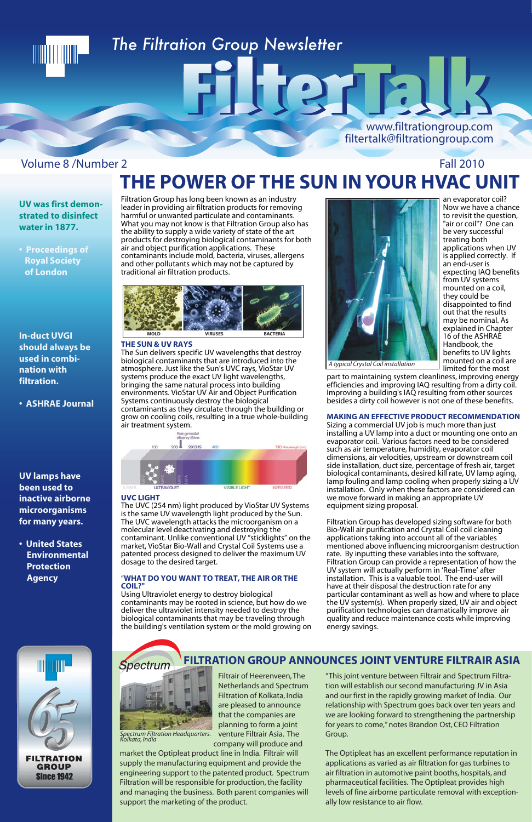## Volume 8 /Number 2 Fall 2010

market the Optipleat product line in India. Filtrair will supply the manufacturing equipment and provide the engineering support to the patented product. Spectrum Filtration will be responsible for production, the facility and managing the business. Both parent companies will support the marketing of the product.

Filtrair of Heerenveen, The Netherlands and Spectrum Filtration of Kolkata, India are pleased to announce that the companies are planning to form a joint venture Filtrair Asia. The company will produce and *Spectrum Filtration Headquarters.* 

"This joint venture between Filtrair and Spectrum Filtration will establish our second manufacturing JV in Asia and our first in the rapidly growing market of India. Our relationship with Spectrum goes back over ten years and we are looking forward to strengthening the partnership for years to come," notes Brandon Ost, CEO Filtration Group.

The Optipleat has an excellent performance reputation in applications as varied as air filtration for gas turbines to air filtration in automotive paint booths, hospitals, and pharmaceutical facilities. The Optipleat provides high levels of fine airborne particulate removal with exceptionally low resistance to air flow.

**FILTRATION GROUP ANNOUNCES JOINT VENTURE FILTRAIR ASIA**

*Kolkata, India*

Spectrum



# *The Filtration Group Newsletter*

www.filtrationgroup.com filtertalk@filtrationgroup.com

Filtration Group has long been known as an industry leader in providing air filtration products for removing harmful or unwanted particulate and contaminants. What you may not know is that Filtration Group also has the ability to supply a wide variety of state of the art products for destroying biological contaminants for both air and object purification applications. These contaminants include mold, bacteria, viruses, allergens and other pollutants which may not be captured by traditional air filtration products.

### **THE SUN & UV RAYS**

The Sun delivers specific UV wavelengths that destroy biological contaminants that are introduced into the atmosphere. Just like the Sun's UVC rays, VioStar UV systems produce the exact UV light wavelengths, bringing the same natural process into building environments. VioStar UV Air and Object Purification Systems continuously destroy the biological contaminants as they circulate through the building or grow on cooling coils, resulting in a true whole-building air treatment system.



### **UVC LIGHT**

The UVC (254 nm) light produced by VioStar UV Systems is the same UV wavelength light produced by the Sun. The UVC wavelength attacks the microorganism on a molecular level deactivating and destroying the contaminant. Unlike conventional UV "sticklights" on the market, VioStar Bio-Wall and Crystal Coil Systems use a patented process designed to deliver the maximum UV dosage to the desired target.

### "**WHAT DO YOU WANT TO TREAT, THE AIR OR THE COIL?"**

Using Ultraviolet energy to destroy biological contaminants may be rooted in science, but how do we deliver the ultraviolet intensity needed to destroy the biological contaminants that may be traveling through the building's ventilation system or the mold growing on



an evaporator coil? Now we have a chance to revisit the question, "air or coil"? One can be very successful treating both applications when UV is applied correctly. If an end-user is expecting IAQ benefits from UV systems mounted on a coil, they could be disappointed to find out that the results may be nominal. As explained in Chapter 16 of the ASHRAE Handbook, the benefits to UV lights mounted on a coil are limited for the most

part to maintaining system cleanliness, improving energy efficiencies and improving IAQ resulting from a dirty coil. Improving a building's IAQ resulting from other sources besides a dirty coil however is not one of these benefits.

### **MAKING AN EFFECTIVE PRODUCT RECOMMENDATION**

Sizing a commercial UV job is much more than just installing a UV lamp into a duct or mounting one onto an evaporator coil. Various factors need to be considered such as air temperature, humidity, evaporator coil dimensions, air velocities, upstream or downstream coil side installation, duct size, percentage of fresh air, target biological contaminants, desired kill rate, UV lamp aging, lamp fouling and lamp cooling when properly sizing a UV installation. Only when these factors are considered can we move forward in making an appropriate UV equipment sizing proposal.

Filtration Group has developed sizing software for both Bio-Wall air purification and Crystal Coil coil cleaning applications taking into account all of the variables mentioned above influencing microorganism destruction rate. By inputting these variables into the software, Filtration Group can provide a representation of how the UV system will actually perform in 'Real-Time' after installation. This is a valuable tool. The end-user will have at their disposal the destruction rate for any particular contaminant as well as how and where to place the UV system(s). When properly sized, UV air and object purification technologies can dramatically improve air quality and reduce maintenance costs while improving energy savings.

**FILTRATION GROUP Since 1942** 



**THE POWER OF THE SUN IN YOUR HVAC UNIT**

ilterta

## **UV was first demonstrated to disinfect water in 1877.**

**• Proceedings of Royal Society of London**

**In-duct UVGI should always be used in combination with filtration.**

**• ASHRAE Journal**

**UV lamps have been used to inactive airborne microorganisms for many years.**

**• United States Environmental Protection Agency**

*A typical Crystal Coil installation*